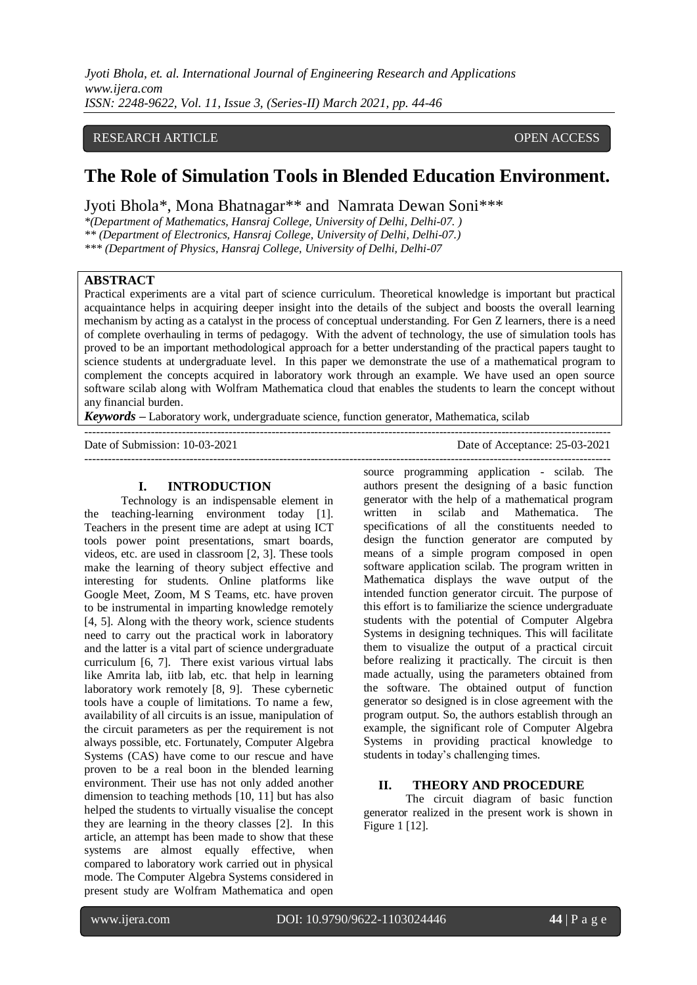*Jyoti Bhola, et. al. International Journal of Engineering Research and Applications www.ijera.com ISSN: 2248-9622, Vol. 11, Issue 3, (Series-II) March 2021, pp. 44-46*

## RESEARCH ARTICLE OPEN ACCESS

# **The Role of Simulation Tools in Blended Education Environment.**

Jyoti Bhola\*, Mona Bhatnagar\*\* and Namrata Dewan Soni\*\*\*

*\*(Department of Mathematics, Hansraj College, University of Delhi, Delhi-07. ) \*\* (Department of Electronics, Hansraj College, University of Delhi, Delhi-07.)*

*\*\*\* (Department of Physics, Hansraj College, University of Delhi, Delhi-07* 

## **ABSTRACT**

Practical experiments are a vital part of science curriculum. Theoretical knowledge is important but practical acquaintance helps in acquiring deeper insight into the details of the subject and boosts the overall learning mechanism by acting as a catalyst in the process of conceptual understanding. For Gen Z learners, there is a need of complete overhauling in terms of pedagogy. With the advent of technology, the use of simulation tools has proved to be an important methodological approach for a better understanding of the practical papers taught to science students at undergraduate level. In this paper we demonstrate the use of a mathematical program to complement the concepts acquired in laboratory work through an example. We have used an open source software scilab along with Wolfram Mathematica cloud that enables the students to learn the concept without any financial burden.

---------------------------------------------------------------------------------------------------------------------------------------

*Keywords* **–** Laboratory work, undergraduate science, function generator, Mathematica, scilab

Date of Submission: 10-03-2021 Date of Acceptance: 25-03-2021

---------------------------------------------------------------------------------------------------------------------------------------

#### **I. INTRODUCTION**

Technology is an indispensable element in the teaching-learning environment today [1]. Teachers in the present time are adept at using ICT tools power point presentations, smart boards, videos, etc. are used in classroom [2, 3]. These tools make the learning of theory subject effective and interesting for students. Online platforms like Google Meet, Zoom, M S Teams, etc. have proven to be instrumental in imparting knowledge remotely [4, 5]. Along with the theory work, science students need to carry out the practical work in laboratory and the latter is a vital part of science undergraduate curriculum [6, 7]. There exist various virtual labs like Amrita lab, iitb lab, etc. that help in learning laboratory work remotely [8, 9]. These cybernetic tools have a couple of limitations. To name a few, availability of all circuits is an issue, manipulation of the circuit parameters as per the requirement is not always possible, etc. Fortunately, Computer Algebra Systems (CAS) have come to our rescue and have proven to be a real boon in the blended learning environment. Their use has not only added another dimension to teaching methods [10, 11] but has also helped the students to virtually visualise the concept they are learning in the theory classes [2]. In this article, an attempt has been made to show that these systems are almost equally effective, when compared to laboratory work carried out in physical mode. The Computer Algebra Systems considered in present study are Wolfram Mathematica and open

source programming application - scilab. The authors present the designing of a basic function generator with the help of a mathematical program written in scilab and Mathematica. The specifications of all the constituents needed to design the function generator are computed by means of a simple program composed in open software application scilab. The program written in Mathematica displays the wave output of the intended function generator circuit. The purpose of this effort is to familiarize the science undergraduate students with the potential of Computer Algebra Systems in designing techniques. This will facilitate them to visualize the output of a practical circuit before realizing it practically. The circuit is then made actually, using the parameters obtained from the software. The obtained output of function generator so designed is in close agreement with the program output. So, the authors establish through an example, the significant role of Computer Algebra Systems in providing practical knowledge to students in today's challenging times.

#### **II. THEORY AND PROCEDURE**

The circuit diagram of basic function generator realized in the present work is shown in Figure 1 [12].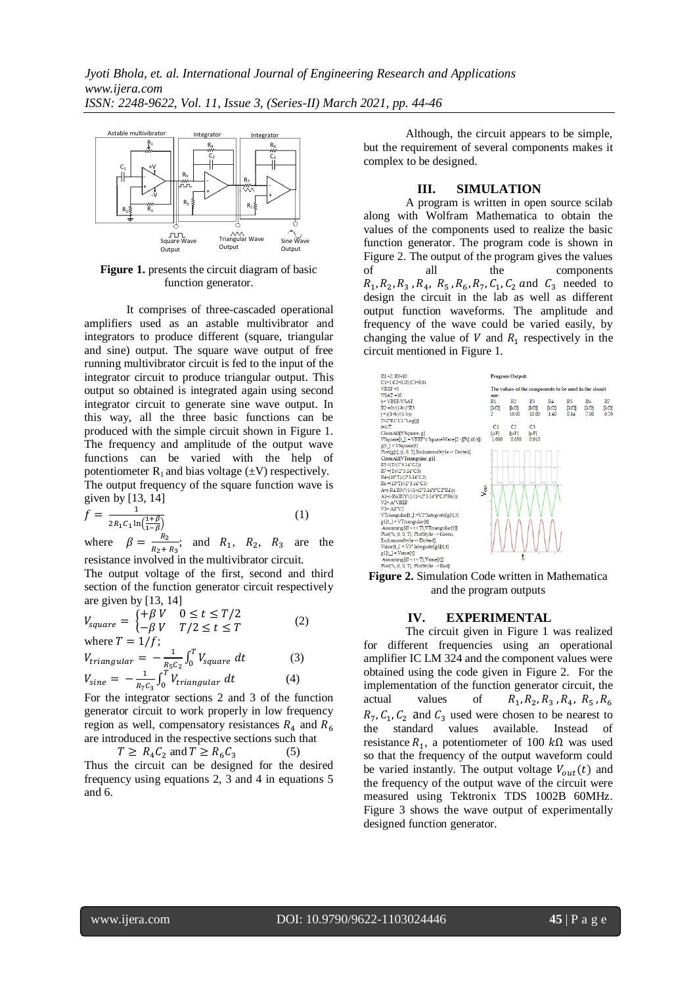

**Figure 1.** presents the circuit diagram of basic function generator.

It comprises of three-cascaded operational amplifiers used as an astable multivibrator and integrators to produce different (square, triangular and sine) output. The square wave output of free running multivibrator circuit is fed to the input of the integrator circuit to produce triangular output. This output so obtained is integrated again using second integrator circuit to generate sine wave output. In this way, all the three basic functions can be produced with the simple circuit shown in Figure 1. The frequency and amplitude of the output wave functions can be varied with the help of potentiometer  $R_1$  and bias voltage  $(\pm V)$  respectively. The output frequency of the square function wave is given by [13, 14]

$$
f = \frac{1}{2R_1C_1\ln(\frac{1+\beta}{1-\beta})}
$$
 (1)

where  $\beta = \frac{R}{R}$  $\frac{R_2}{R_2+R_3}$ ; and  $R_1$ ,  $R_2$ ,  $R_3$  are the resistance involved in the multivibrator circuit.

The output voltage of the first, second and third section of the function generator circuit respectively are given by [13, 14]

$$
V_{square} = \begin{cases} +\beta V & 0 \le t \le T/2\\ -\beta V & T/2 \le t \le T \end{cases}
$$
 (2)

where 
$$
I = 1/f
$$
;  
\n
$$
V_{triangular} = -\frac{1}{R_5 C_2} \int_0^T V_{square} \, dt \tag{3}
$$
\n
$$
V_{sine} = -\frac{1}{R_7 C_3} \int_0^T V_{triangular} \, dt \tag{4}
$$

For the integrator sections 2 and 3 of the function generator circuit to work properly in low frequency region as well, compensatory resistances  $R<sub>4</sub>$  and  $R<sub>6</sub>$ are introduced in the respective sections such that

 $T \geq R_4 C_2$  and  $T \geq R_6 C_3$  (5) Thus the circuit can be designed for the desired frequency using equations 2, 3 and 4 in equations 5

Although, the circuit appears to be simple, but the requirement of several components makes it complex to be designed.

#### **III. SIMULATION**

A program is written in open source scilab along with Wolfram Mathematica to obtain the values of the components used to realize the basic function generator. The program code is shown in Figure 2. The output of the program gives the values of all the components  $R_1, R_2, R_3, R_4, R_5, R_6, R_7, C_1, C_2$  and  $C_3$  needed to design the circuit in the lab as well as different output function waveforms. The amplitude and frequency of the wave could be varied easily, by changing the value of  $V$  and  $R_1$  respectively in the circuit mentioned in Figure 1.



and the program outputs

#### **IV. EXPERIMENTAL**

The circuit given in Figure 1 was realized for different frequencies using an operational amplifier IC LM 324 and the component values were obtained using the code given in Figure 2. For the implementation of the function generator circuit, the actual values of ,  $R_2$ ,  $R_3$  ,  $R_4$ ,  $R_5$ ,  $R_7, C_1, C_2$  and  $C_3$  used were chosen to be nearest to the standard values available. Instead of resistance  $R_1$ , a potentiometer of 100  $k\Omega$  was used so that the frequency of the output waveform could be varied instantly. The output voltage  $V_{out}(t)$  and the frequency of the output wave of the circuit were measured using Tektronix TDS 1002B 60MHz. Figure 3 shows the wave output of experimentally designed function generator.

and 6.